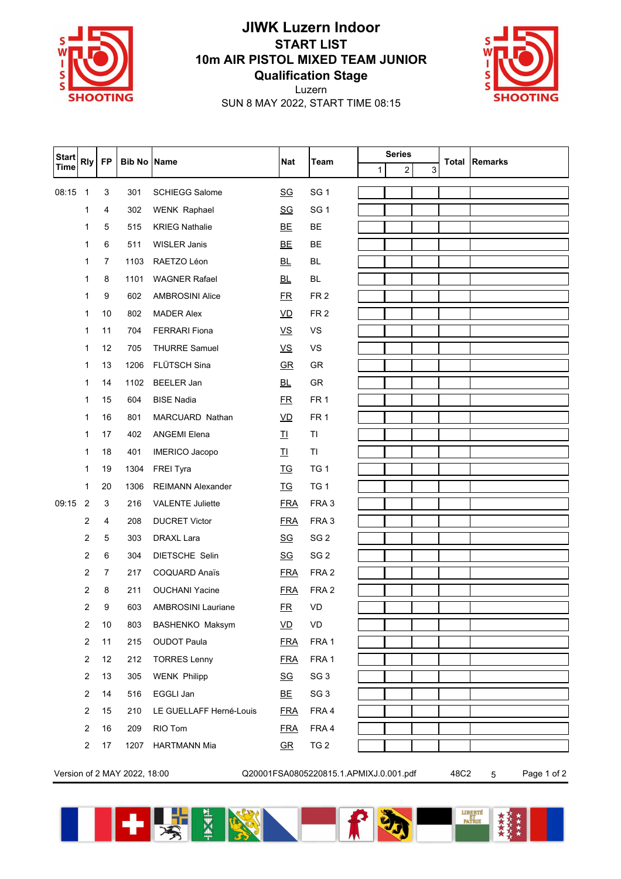

## **JIWK Luzern Indoor START LIST 10m AIR PISTOL MIXED TEAM JUNIOR Qualification Stage**

Luzern



SUN 8 MAY 2022, START TIME 08:15

| <b>Start</b> | <b>Rly</b>                 | <b>FP</b>      | <b>Bib No Name</b> |                           | <b>Nat</b>                | <b>Team</b>      | <b>Series</b> |   |   |                      |
|--------------|----------------------------|----------------|--------------------|---------------------------|---------------------------|------------------|---------------|---|---|----------------------|
| <b>Time</b>  |                            |                |                    |                           |                           |                  | $\mathbf{1}$  | 2 | 3 | <b>Total Remarks</b> |
| 08:15        | $\overline{\phantom{0}}$ 1 | 3              | 301                | <b>SCHIEGG Salome</b>     | $\underline{\mathsf{SG}}$ | SG <sub>1</sub>  |               |   |   |                      |
|              | 1                          | 4              | 302                | <b>WENK Raphael</b>       | $\underline{\mathsf{SG}}$ | SG <sub>1</sub>  |               |   |   |                      |
|              | 1                          | 5              | 515                | <b>KRIEG Nathalie</b>     | <b>BE</b>                 | <b>BE</b>        |               |   |   |                      |
|              | 1                          | 6              | 511                | WISLER Janis              | <b>BE</b>                 | BE               |               |   |   |                      |
|              | 1                          | $\overline{7}$ | 1103               | RAETZO Léon               | <b>BL</b>                 | BL               |               |   |   |                      |
|              | 1                          | 8              | 1101               | <b>WAGNER Rafael</b>      | <b>BL</b>                 | BL               |               |   |   |                      |
|              | 1                          | 9              | 602                | <b>AMBROSINI Alice</b>    | ER                        | FR <sub>2</sub>  |               |   |   |                      |
|              | 1                          | 10             | 802                | <b>MADER Alex</b>         | $\underline{\mathsf{VD}}$ | FR <sub>2</sub>  |               |   |   |                      |
|              | 1                          | 11             | 704                | <b>FERRARI</b> Fiona      | $\underline{\mathsf{VS}}$ | <b>VS</b>        |               |   |   |                      |
|              | 1                          | 12             | 705                | <b>THURRE Samuel</b>      | $\underline{\mathsf{VS}}$ | VS               |               |   |   |                      |
|              | 1                          | 13             | 1206               | FLÜTSCH Sina              | $\underline{\mathsf{GR}}$ | GR               |               |   |   |                      |
|              | 1                          | 14             | 1102               | <b>BEELER Jan</b>         | <b>BL</b>                 | GR               |               |   |   |                      |
|              | 1                          | 15             | 604                | <b>BISE Nadia</b>         | ER                        | FR <sub>1</sub>  |               |   |   |                      |
|              | 1                          | 16             | 801                | MARCUARD Nathan           | $\underline{VD}$          | FR <sub>1</sub>  |               |   |   |                      |
|              | 1                          | 17             | 402                | <b>ANGEMI Elena</b>       | 卫                         | TI               |               |   |   |                      |
|              | 1                          | 18             | 401                | <b>IMERICO Jacopo</b>     | 卫                         | T1               |               |   |   |                      |
|              | 1                          | 19             | 1304               | <b>FREI Tyra</b>          | <b>TG</b>                 | TG <sub>1</sub>  |               |   |   |                      |
|              | 1                          | 20             | 1306               | <b>REIMANN Alexander</b>  | <b>TG</b>                 | TG <sub>1</sub>  |               |   |   |                      |
| 09:15        | $\overline{2}$             | 3              | 216                | <b>VALENTE Juliette</b>   | <b>FRA</b>                | FRA <sub>3</sub> |               |   |   |                      |
|              | 2                          | 4              | 208                | <b>DUCRET Victor</b>      | <u>FRA</u>                | FRA <sub>3</sub> |               |   |   |                      |
|              | 2                          | 5              | 303                | <b>DRAXL Lara</b>         | <u>SG</u>                 | SG <sub>2</sub>  |               |   |   |                      |
|              | 2                          | 6              | 304                | DIETSCHE Selin            | <u>SG</u>                 | SG <sub>2</sub>  |               |   |   |                      |
|              | 2                          | $\overline{7}$ | 217                | <b>COQUARD Anaïs</b>      | <b>FRA</b>                | FRA <sub>2</sub> |               |   |   |                      |
|              | 2                          | 8              | 211                | <b>OUCHANI Yacine</b>     | <b>FRA</b>                | FRA <sub>2</sub> |               |   |   |                      |
|              | 2                          | 9              | 603                | <b>AMBROSINI Lauriane</b> | ER                        | VD               |               |   |   |                      |
|              | $\overline{2}$             | 10             | 803                | BASHENKO Maksym           | $\underline{\mathsf{VD}}$ | VD               |               |   |   |                      |
|              | $\overline{2}$             | 11             | 215                | <b>OUDOT Paula</b>        | <b>FRA</b>                | FRA 1            |               |   |   |                      |
|              | $\overline{c}$             | 12             | 212                | <b>TORRES Lenny</b>       | <b>FRA</b>                | FRA 1            |               |   |   |                      |
|              | $\boldsymbol{2}$           | 13             | 305                | <b>WENK Philipp</b>       | <u>SG</u>                 | SG <sub>3</sub>  |               |   |   |                      |
|              | $\overline{2}$             | 14             | 516                | EGGLI Jan                 | ВE                        | SG <sub>3</sub>  |               |   |   |                      |
|              | $\overline{c}$             | 15             | 210                | LE GUELLAFF Herné-Louis   | <b>FRA</b>                | FRA 4            |               |   |   |                      |
|              | $\overline{c}$             | 16             | 209                | RIO Tom                   | <b>FRA</b>                | FRA 4            |               |   |   |                      |
|              | $\overline{c}$             | 17             | 1207               | <b>HARTMANN Mia</b>       | $G$ R                     | TG <sub>2</sub>  |               |   |   |                      |
|              |                            |                |                    |                           |                           |                  |               |   |   |                      |

Version of 2 MAY 2022, 18:00 Q20001FSA0805220815.1.APMIXJ.0.001.pdf 48C2 5 Page 1 of 2